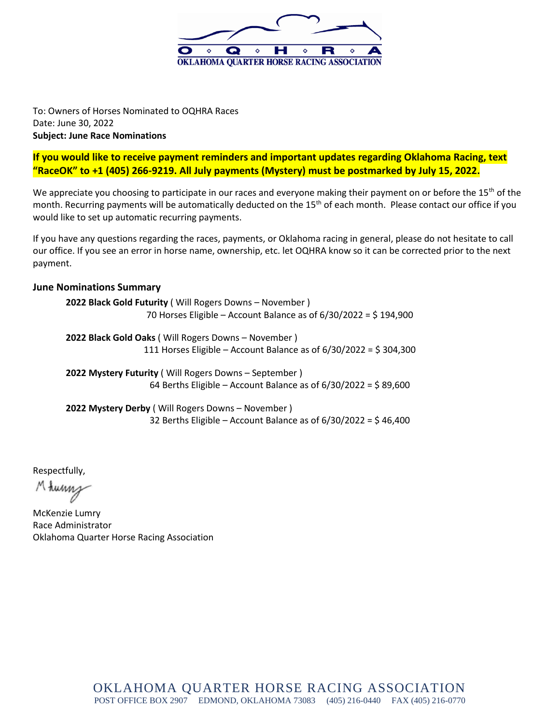

To: Owners of Horses Nominated to OQHRA Races Date: June 30, 2022 **Subject: June Race Nominations**

**If you would like to receive payment reminders and important updates regarding Oklahoma Racing, text "RaceOK" to +1 (405) 266-9219. All July payments (Mystery) must be postmarked by July 15, 2022.**

We appreciate you choosing to participate in our races and everyone making their payment on or before the  $15<sup>th</sup>$  of the month. Recurring payments will be automatically deducted on the 15<sup>th</sup> of each month. Please contact our office if you would like to set up automatic recurring payments.

If you have any questions regarding the races, payments, or Oklahoma racing in general, please do not hesitate to call our office. If you see an error in horse name, ownership, etc. let OQHRA know so it can be corrected prior to the next payment.

## **June Nominations Summary**

**2022 Black Gold Futurity** ( Will Rogers Downs – November ) 70 Horses Eligible – Account Balance as of 6/30/2022 = \$ 194,900

**2022 Black Gold Oaks** ( Will Rogers Downs – November ) 111 Horses Eligible – Account Balance as of  $6/30/2022 = $304,300$ 

**2022 Mystery Futurity** ( Will Rogers Downs – September ) 64 Berths Eligible – Account Balance as of 6/30/2022 = \$ 89,600

**2022 Mystery Derby** ( Will Rogers Downs – November ) 32 Berths Eligible – Account Balance as of  $6/30/2022 = $46,400$ 

Respectfully,

Mhunn

McKenzie Lumry Race Administrator Oklahoma Quarter Horse Racing Association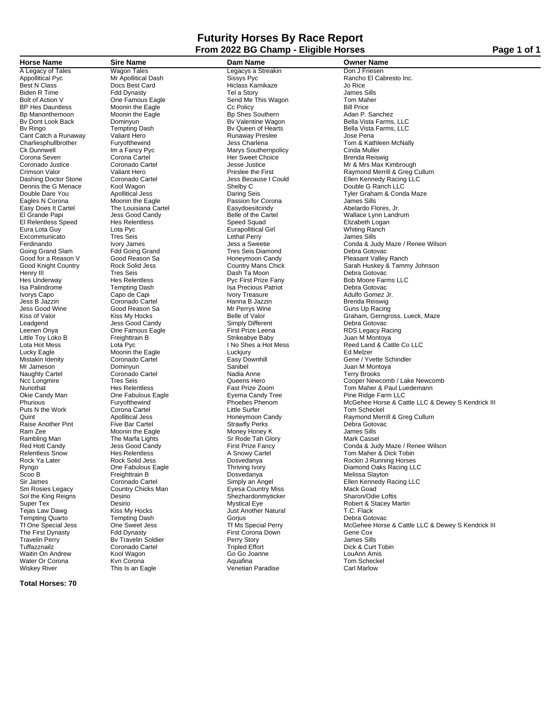### **Futurity Horses By Race Report From 2022 BG Champ - Eligible Horses Page 1 of 1**

Best N Class Card Contract Card Class Card Hiclass Kamikaze (Green Class Card Hiclass Kamikaze Jo Rice Card Hiclass Kamikaze Jo Rice Card Hiclass Kamikaze Jo Rice Card Hiclass Kamikaze Jo Rice Card Hiclass Kamikaze James S Biden R Time Fdd Dynasty Tel a Story James Sills<br>Bolt of Action V One Famous Eagle Send Me This Wagon Tom Maher BR Hes Dauntless Moonin the Eagle Cc Policy Care in the Capital Cc Policy CC Policy Bill Price Bill Price<br>BD Manonthemoon Moonin the Eagle BD Shes Southern Adan P. Sanchez Bp Manonthemoon Moonin the Eagle **Bullet Bullet Band Bullet Britannic Britannic Britannic Britannic Britannic Britannic Britannic Britannic Britannic Wagon<br>Britannic Britannic Britannic Britannic Britannic Britannic Wagon** Cant Catch a Runaway Caliant Hero Catch a Runaway Preslect Catch a Runaway Preslect Catch a Runaway Preslect C<br>Charlies bhullbrother Furvofthewind Fund Jess Charlena Ck Dunnwell Im a Fancy Pyc<br>
Ck Dunnwell Im a Fancy Pyc Marys Southernpolicy<br>
Corona Seven Corona Cartel Her Sweet Choice Corona Seven Corona Cartel Corona Cartel Her Sweet Choice<br>
Coronado Justice Coronado Cartel Coronado Center Suese Justice Dennis the G Menace Kool Wagon<br>
Double Dare You Apollitical Jess Camera Corner Seis Easy Does It Cartel The Louisiana Cartel Easydoesitcindy Abelardo Flores, Jr. El Relentless Speed Hes Relentless Christian Speed Squad Clicabeth Logan Elizabeth Logan Clicabeth Logan Elizabeth Logan Clicabeth Logan Elizabeth Logan Clicabeth Logan Clicabeth Logan Clicabeth Logan Clicabeth Logan Clica Excommunicato Tres Seis and Lethal Perry Lethal Perry Lethal Perry Lethal Perry Jers a Sweetie Going Grand Slam Fdd Going Grand Tres Seis Diamond<br>Good for a Reason V Good Reason Sa Floneymoon Candy Henry III Tres Seis Dash Ta Moon Debra Gotovac Isa Palindrome Tempting Dash Isa Precious Patriot Debra Gotovac Ivorys Capo Capo de Capi Ivory Treasure Adulfo Gomez Jr. Jess B Jazzin Coronado Cartel Hanna B Jazzin Brenda Reiswig Jess Good Wine Good Reason Sa Good Reason Sa Mr Perrys Wine Good Reason Sa Guns Up Relle of Valor Leadgend Good Candy Jess Good Candy Communication Communication Communication Communication Communication Def<br>Communication Communication Communication Communication Communication Communication Communication Communicatio Little Toy Loko B Freighttrain B The Strikeabye Baby<br>
Lota Hot Mess Lota Pyc The Strike Baby The Shes a Hot Mess Lucky Eagle **Moonin the Eagle** Cuckjury Luckjury<br>
Mistakin Idenity **Edge Coronado Cartel** Coronado Cartel **Easy Downhill** Mr Jameson Dominyun Sanibel Juan M Montoya Naughty Cartel Coronado Cartel Coronado Cartel Coronado Cartel Nadia Anne<br>Note Longmire Tres Seis Coronado Cartel Nadia Anne Okie Candy Man Cone Fabulous Eagle Fabulous Eyema Candy Tree<br>
Phurious Fabulous Eagle Fabulous Eagle Face Ridge Farm Lucken<br>
Phoebes Phenom Puts N the Work Corona Cartel Little Surfer Tom Scheckel<br>Quint Corona Cartel Little Surfer Tom Scheckel<br>Quint Raymond Merr Count Count Apollitical Jess Franchises<br>
Raise Another Pint Five Bar Cartel Strawfly Perks Debra Gotov<br>
Ram Zee Moonin the Eagle Money Honey K James Sills<br>
Rambling Man The Marfa Lights Sr Rode Tah Glory Mark Cassel Ram Zee Moonin the Eagle Money Honey K James Sills Rambling Man The Marfa Lights Sr Rode Tah Glory Mark Cassel Scoo B Freighttrain B Dosvedanya<br>
Sir James Coronado Cartel Simply an Angel Sol the King Reigns Country<br>Sol the King Reigns Desirio<br>Super Tex Desirio Tempting Quarto Tempting Dash Gorjus Correct Construction of the Corpus Corpus Corpus Corpus Corpus Debra Gorjus Debra Gorjus Debra Gorjus Debra Gorjus Debra Gorjus Debra Gorjus Debra Gorjus Debra Gorjus Debra Gorjus Debra The First Dynasty Fdd Dynasty First Corona Down Gene Cox<br>Travelin Perry Bv Travelin Soldier Perry Story James Sills Tuffazznailz Coronado Cartel Coronado Cartel Tripled Effort Coronado Cartel Coronado Cartel Tripled Effort Dick & Curt Tobin<br>
Vaitin On Andrew Kool Waqon Go Go Joanne Coronado Cartel Coronado Cartel Coronado Cartel Tripled vantin On Andrew Cool Wagon Communication Cool Document Cool Document Cool Document Cool Document Cool Document<br>
Water Or Corona Month Corona Kool Wagon Cool Document Cool Document Cool Document Cool Document Cool Document

Water Or Corona Kvn Corona Aquafina Tom Scheckel

**Horse Name Sire Name Sime Name Dam Name Owner Name Owner Name A Legacy of Tales Wagon Tales Conserver Conserver Conserver Conserver Conserver Conserver Conserver Appolitical Pyc Conserver Conserver Conse** Wagon Tales **Legacys a Streakin**<br>
Mr Apollitical Dash Sissys Pyc Eagle Moonin the Eagle The Local Corona and Moonin the Eagle Passion for Corona Moonin the Eagle Passion for Corona James Sills<br>The Louisiana Cartel **France Eagle** Easydoesitcindy The Louisiana Cartel Eura Lota Guy Lota Pyc Eurapollitical Girl Whiting Ranch One Famous Eagle **Canadia Constant Prize Leena** RDS Legacy Racing<br>
Freighttrain B Christ Construct Construction Christeabye Baby Sm Rosies Legacy Country Chicks Man Eyesa Country Miss Mack Goad<br>
Desirio Shezhardonmyticker Sharon/Odie Loftis Tesirio and Mystical Eye and Mystical Execution of the Robert & Stace<br>
Mystical Eye and T.C. Flack<br>
Tempting Dash Gorjus Gorjus Corpus Debra Gotovac <sub>r re</sub>uanna<br>Venetian Paradise

Appollitical Pyc Mr Apollitical Dash and Sissys Pyc Appollitical Pyc Rancho El Cabresto Inc.<br>
Appollitical Pyc Mr Apollitical Dash Sissys Pyc Rancho El Cabresto Inc.<br>
Best N Class Appollitical Pyc Docs Best Card Hiclass Ka Bv Dont Look Back Dominyun Communication Dominyun Bv Valentine Wagon Bella Vista Farms, LLC<br>
Bv Ringo Tempting Dash Bv Queen of Hearts Bella Vista Farms, LLC<br>
Cant Catch a Runaway Valiant Hero Runaway Preslee Jose Pena By Queen of Hearts **Bella Vista Farms, LLC**<br>By Queen of Hearts **Bella Vista Farms, LLC**<br>Runaway Preslee Jose Pena Charliesphullbrother Furyofthewind Jess Charlena Tom & Kathleen McNally<br>Ck Dunnwell Ck Dunnwell Im a Fancy Pyc Marys Southernpolicy Cinda Muller Corona Seven and Corona Cartel Corona Cartel Corona Cartel Coronado Justice Coronado Justice Coronado Cartel Coronado Cartel Jesse Justice Deset Choice Mr & Mr & Mr Max Kimbrough<br>Coronado Justice Coronado Cartel Jesse Just Crimson Valor **Crimson Value Crimson Value Crimson Valor** Valiant Hero Preslee the First Preslee the First Raymond Merrill & Greg Cullum<br>
Preslee the First Raymond Merrill & Greg Cullum<br>
Dashing Doctor Stone Coronado Carte Dashing Doctor Stone Coronado Cartel Jess Because I Could Ellen Kennedy Racing LLC Double Dare You **Apollitical Jess** Daring Seis Daring Seis Tyler Graham & Conda Maze<br> **Eagles N Corona** Moonin the Eagle **Network Design Passion for Corona** James Sills Less Good Candy **Elle of the Cartel Candy** Wallace Lynn Landrum<br>
Hes Relentless **Belle of the Cartel Wallace Lynn Landrum**<br>
Elizabeth Logan Ferdinando **IVOR STAMES AND CONDUCT CONDUCT** Ferdinando Ivory James Judy Maze / Renee Wilson<br>Tres Seis Diamond Color Debra Gotovac Debra Gotovac Fedd Going Grand Tres Seis Diamond Good for a Reason V Good Reason Sa Franch Honeymoon Candy Freasant Valley Ranch<br>Good Knight Country Franch Rock Solid Jess Franch Country Mans Chick Franch Huskey & Tamm Good Knight Country Country Rock Solid Jess Country Mans Chick Sarah Huskey & Tammy Johnson<br>
Renry III Tres Seis Country Cash Ta Moon Debra Gotovac Hes Underway **Hes Relentless** Pyc First Prize Fany Bob Moore Farms LLC<br>
Isa Palindrome **Prize Tempting Dash** Bosh Isa Precious Patriot Prize Fang Debra Gotovac Kiss of Valor **Kiss My Hocks** Communication of Valor Craham, Gerngross, Lueck, Maze<br>The Magend Carel Coracle Candy Communication of Simply Different Coracle Debra Gotovac Lota Hot Mess<br>
Lota Hot Mess Lota Pyc I No Shes a Hot Mess<br>
Lucky Eagle **I No Shes a Hot Mess** Reed Land & Cattle Co LLC<br>
Lucky Eagle Ed Melzer Mistakin Idenity **Coronado Cartel Communisty Carte**l Easy Downhill Communisty Cene / Yvette Schindler<br>Mr Jameson Micropology Dominyun Communisty Sanibel Sanibel Communisty Communisty Duan Microsoft Ncc Longmire Tres Seis Tres Seis Cooper Newcomb / Lake Newcomb Cooper Newcomb / Lake Newcomb / Cooper Newcomb<br>
Nunothat Cooper New Hes Relentless Cooper Seast Prize Zoom Tom Maher & Paul Luedemann Nunothat **Fast Prize Zoom Communist Communist Prize Zoom** Tom Maher & Paul Luedemann<br>
Richardy Man Tom Pabulous Eagle The Prize Eyema Candy Tree The Ridge Farm LLC Phoebes Phenom McGehee Horse & Cattle LLC & Dewey S Kendrick III<br>Little Surfer Quint Communical Jess Apollitical Jess Honeymoon Candy Raymond Merrill & Greg Cullum<br>
Raise Another Pint Five Bar Cartel Strawfly Perks Strawfly Perks Debra Gotovac Red Hott Candy Jess Good Candy First Prize Fancy Conda & Judy Maze / Renee Wilson Relentless Snow Hes Relentless A Snowy Cartel Tom Maher & Dick Tobin Rock Ya Later Rock Solid Jess Dosvedanya Rockin J Running Horses Ryngo One Fabulous Eagle Thriving Ivory Diamond Oaks Racing LLC Sir Sir James Coronado Cartel Simply and Angel Simply and Angel Simply and Angel Simply and Angel Simply and Angel Simply and Angel Simply and Angel Simply and Angel Simply and Angel Simply and Angel Simply and Angel Simpl Super Tex Desirio Mystical Eye Robert & Stacey Martin Trim a station of the Sweet Jess Cheen Cheen The Special Design of the Special Perry of the Special Jess One Sweet Jess Tf Ms Special Perry McGehee Horse & Cattle LLC & Dewey S Kendrick III<br>The First Dynasty Fidd Dynasty F

**Total Horses: 70**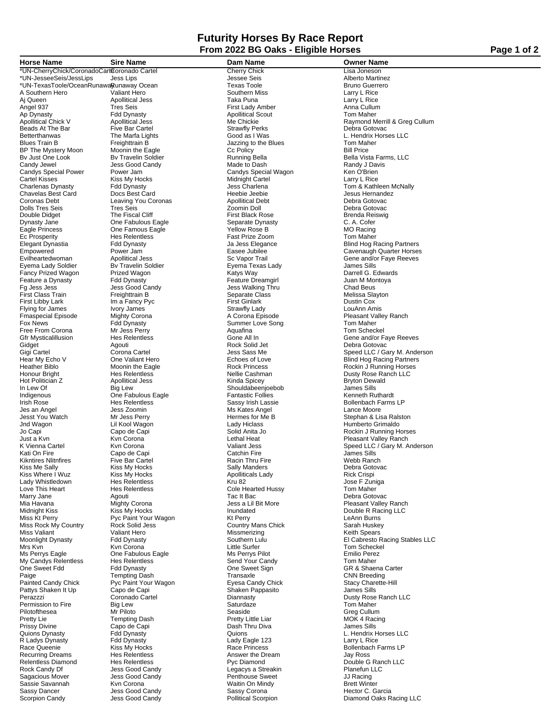## **Futurity Horses By Race Report From 2022 BG Oaks - Eligible Horses Page 1 of 2 Page 1 of 2**

A Southern Hero Valiant Hero Valiant Hero Southern Miss Larry L Rice<br>
A Queen Apollitical Jess Taka Puna Nata Puna Larry L Rice<br>
Angel 937 Tres Seis First Lady Amber Anna Cullum Ap Dynasty Fdd Dynasty Apollitical Scout Tom Maher Beads At The Bar Five Bar Cartel Strawfly Perks<br>
Beads At The Bar Five Bar Cartel Strawfly Perks<br>
Debra Good as I Was Betterthanwas The Marfa Lights Good as I Was L. Hendrix Horses LLC<br>Blues Train B Freighttrain B Freights Jazzing to the Blues Train B Tom Maher BP The Mystery Moon Moonin the Eagle Capital Corporation Corporation Corporation Corporation Corporation Corporation Corporation Bill Price Section Bill Price Section Bill Price Section Bill Price Section Bill Price Sectio Candy Jewel Jess Good Candy Made to Dash Randy J Davis Candys Special Power Tower Jam Candys Special Wagon The Candys Special Wagon Candys Special Wagon Candys Special Wagon Ken O'Brien<br>Cartel Kisses Kiss My Hocks Midnight Cartel Kisses Larry L Rice Cartel Kisses Kiss My Hocks Midnight Cartel Charlenas Dynasty Fdd Dynasty Bess Charlena<br>Charlenas Dynasty Fdd Dynasty Bess Charlena<br>Chavelas Best Card Docs Best Card Heebie Jeebie Chavelas Best Card Cocs Best Card Coronas Cheebie Jeebie Jesus Hernandez (Gard Heebie Jesus Hernandez Debra Gotovac<br>Coronas Debt Card Leaving You Coronas Apollitical Debt Coronas Debra Gotovac Coronas Debt Leaving You Coronas Apollitical Debt Leaving You Coronas Apollitical Debt Debt Debt Debt Debt Deb<br>
Dolls Tres Seis Tres Seis Zoomin Doll Dolls Tres Seis Tres Seis Zoomin Doll Debra Gotovac Double Didget The Fiscal Cliff First Black Rose Couple Didget Brenda Reiswight School C. A. Cofer<br>
Dynasty Jane C. A. Cofer Dynasty Jane **One Fabulous Eagle** Separate Dynasty Separate Dynasty C. A. Cofer<br>
C. A. Cofer<br>
Separate Dynasty Separate Dynasty C. A. Cofer<br>
MO Racing Eagle Princess One Famous Eagle Yellow Rose B MO Racing Ec Prosperity **Fast Prize Zoom**<br>
Elegant Dynastia Ford Dynasty<br>
Fast Blegance Form Form Market Communication Communication Communication Communication Eyema Lady Soldier By Travelin Soldier **By Exema Texas Lady Communist Communist Soldier** Exempt Sills Communist Communist Communist Communist Communist Communist Communist Communist Communist Communist Communist Communist Fancy Prized Wagon Maria Prized Wagon Natys Way Natys Way Prized Wagon Prized Wagon National Communisty Charle<br>The Preature a Dynasty Prized Dynasty Preature Dreamgirl Charles Sullan Minontoya Feature a Dynasty Form and Dynasty Feature Dreamgin Feature Dreamgin Monto Juan M Monto Juan M Monto Juan M Mo<br>Form the Seature of the Seature of the Seature Dreamging Thru Chad Beus First Class Train Freighttrain B and Separate Class (Melissa Slagen Melissa Slagen School of Train School of Tr<br>First Libby Lark (Dustin Cox Inn a Fancy Pyc Flying for James Ivory James<br>
For Strawfly Lady<br>
For News For News For American Hotel Dynasty<br>
For News For Peta Dynasty<br>
Summer Love Son Fmaspecial Episode Mighty Corona and A Corona A Corona Episode Pleasant Valley Ranch<br>A Corona Equator Property Summer Love Song Tom Maher Free From Corona Mr Jess Perry Free From Corona Mr Jess Perry Aquafina<br>
Gfr Mysticalillusion Hes Relentless Cone All In Hot Politician Z<br>
Hot Politician Z<br>
In Lew Of Sills (Buy Big Lew Shouldabeenjoebob Shouldabeenjoebob James Sills<br>
Indigenous Che Fabulous Eagle Shouldabeenjoebob Shouldabeenjoebob Shouldabeenjoebob Shouldabeenjoebob Should Indigenous Cone Fabulous Eagle Fantastic Follies<br>
Indigenous Cone Fabulous Eagle Fantastic Follies<br>
Fantastic Follies Resembles Resembles Sassy Irish Lassie Irish Rose **Hes Relentless** Sassy Irish Lassie Sullenbach Farms LP<br>
Jes an Angel (Jess Zoomin Ms Kates Angel Ms Kates Angel Lance Moore Jes an Angel Jess Zoomin Ms Kates Angel Lance Moore Kikntires Mitnfires Five Bar Cartel Fire Racin Thru Fire Webb Ranch<br>Five Bar Cartel Racin Thru Fire Webb Ranch<br>Kiss Me Sally Manders Debra Gotovac Miss Valiant Valiant Hero Southern Missmerizing Children Countries (New York)<br>Missmerizing Missmerizing Hero Missmerizing Hero Missmerizing (Neth Spears<br>Moonlight Dynasty Fdd Dynasty Southern Lulu (El Cabresto F Ms Perrys Eagle Minimum Communications of the Eagle Minimum Communications of the Emilio Perez<br>My Candys Relentless Hes Relentless Hess Send Your Candy Tom Maher My Candys Relentless Hes Relentless Send Your Cand<br>
One Sweet Fdd Stend Tom Masty Sene Stend Tom Sweet Sign One Sweet Fdd<br>
One Sweet Fdd<br>
Paige Tempting Dash Transaxle Cone Sweet Sign GR & Shaena Carter<br>
Painted Candy Chick Pyc Paint Your Wagon Transaxle Eyesa Candy Chick Stacy Charette-Hill Paige Tempting Dash Transaxle Transaxle Conductor Transaxle Conductor Transaxle Conductor Transaxle Conductor<br>Painted Candy Chick Pyc Paint Your Wagon Transaxle Eyesa Candy Chick Pattys Shaken It Up Capo de Capi Capo Capi Shaken Pappasito James Shaken Pappasito James Shaken Pappasito James Shaken Pappasito James Shaken Pappasito James Shaken Pappasito James Shaken Pappasito James Shaken Pappasito J Permission to Fire Eig Lew Saturdaze Tom Maher Tom Maher<br>Permission to Fire Big Lew Saturdaze Seaside Seaside Greg Cullum R Ladys Dynasty Formal Dynasty<br>
Race Queenie Formal Riss My Hocks<br>
Race Princess Race Queenie 1992 Kiss My Hocks Most Christian Race Princess Control and Bollenbach Farms LP<br>Recurring Dreams Reset Hes Relentless Most Christian Answer the Dream May Ross Jay Ross Recurring Dreams Hes Relentless Answer the Dream Relentless Answer the Dream Relentless Answer the Dream Relentless Relentless Diamond Hes Relentless **Hes Relentless Pyc Diamond** Pyc Diamond Double G Ranch LLC<br>
Rock Candy Df **Double G Ranch LLC** Dess Good Candy **Diamond Legacys a Streakin** Planefun LLC Rock Candy Df Jess Good Candy Legacys a Streakin Planefun LLC Sassie Savannah Kvn Corona Ning Waitin On Mindus<br>
Sassy Dancer Corona Jess Good Candy Corona Ning Sassy Corona

Sassy Dancer Jess Good Candy Sassy Corona Hector C. Garcia

\*UN-CherryChick/CoronadoCarteCoronado Cartel Cherry Chick Lisa Joneson \*understate the sense of the sense of the sense of the sense of the sense of the sense of the sense of the sense<br>\*UN-JesseeSeis/JessLips Jess Lips Jessee Seis Jessee Seis Alberto Martinez<br>\*UN-TexasToole/OceanRunawaRunawar \*UN-TexasToole/OceanRunawayRunaway Ocean Texas Toole<br>\*UN-TexasToole/OceanRunawayRunaway Ocean Texas Toole Texas Toole Bruno Guerrer<br>A Southern Miss Larry L Rice Aj Queen Apollitical Jess Taka Puna Larry L Rice Tres Seis First Lady Amber<br>
The Seis First Lady Amber<br>
For Anna Cullum<br>
For Anna Cullum<br>
For Anna Cullum Freighttrain B<br> **Blues** Tom Mahering to the Blues<br>
Controlling to the Blues<br>
Controlling Controlling Controller Controller Controller Bill Price Fg Jess Jess Jess Good Candy Jess Walking Thru Chad Beus Im a Fancy Pyc **First Ginlark Im a Fancy Pyc Cox**<br>In a Fancy Pyc **Property Community Contract Contract Cove**<br>Strawfly Lady **Community Cover** Form Maher Commer Love Song Tom Maher Tom Maher Nor Jess Perry<br>Tom Scheckel Mr Jess Perry Scheckel Shouldabeenjoebob<br>Fantastic Follies Kati On Fire Capo de Capi Catchin Fire James Sills Kiss My Hocks<br>
Kiss My Hocks<br>
Kiss My Hocks<br>
Kiss My Hocks<br>
Hes Relentless<br>
Hes Relentless<br>
Kru 82<br>
Kru 82<br>
Manders<br>
Compared and My Rick Crispi Kiss Where I Wuz Kiss My Hocks Apolliticals Lady Rick Crispi<br>Lady Whistledown Hes Relentless Kru 82 Jose F Zuniga Love This Heart Hes Relentless Cole Hearted Hussy Tom Maher Marry Jane Agouti Tac It Bac Debra Gotovac Mia Havana Mighty Corona Jess a Lil Bit More Pleasant Valley Ranch Midnight Kiss Kiss My Hocks Inundated Double R Racing LLC Miss Kt Perry Pyc Paint Your Wagon Kt Perry LeAnn Burns<br>Miss Rock My Country Rock Solid Jess Country Mans Chick Sarah Huskey Mrs Kvn North Kvn Corona New York Little Surfer New York Tom Scheckel Pyc Paint Your Wagon **Pyc Paint Your Wagon** Eyesa Candy Chick **Pyc Pyc Paint Your Wagon Exercise**<br>Capo de Capi **Canadia Stack Stace Charette-Hill Stack Stack Stack Stack Stack Stack Stack Stack Stack Stack Stack** Pilotofthesea Mr Piloto Seaside Greg Cullum Pretty Lie Tempting Dash Pretty Little Liar MOK 4 Racing Prissy Divine Capo de Capi Dash Thru Diva James Sills Jess Good Candy **Sagacious Communist Constructs Constructs** October 1999 Movement Constructs Are a Construction O<br>
Movement Movement Movement Visitin On Mindy Constructs Dentit Winter

**Horse Name Sire Name Dam Name Owner Name** Apolitical Jess Metal Chickie Metal Cooline Chickie Maymond Merrill & Greg Cullum<br>Apollitical Jess Metal Merrill & Greg Cullum<br>Five Bar Cartel Strawfly Perks Debra Gotovac Bv Just One Look Bv Travelin Soldier Running Bella Bella Vista Farms, LLC verwas Darlenas **Dynasty Forman Dynasty Forman Dynasty Property** Tom & Kathleen McNally<br>
Heebie Jeebie **Dynasty Desus Hernandez** Elegant Dynastia Fdd Dynasty Ja Jess Elegance Blind Hog Racing Partners Empowered Power Jam Easee Jubilee Cavenaugh Quarter Horses Evilheartedwoman Mapollitical Jess Sc Vapor Trail Section of Gene and/or Faye Reeves<br>
Sema Lady Soldier By Travelin Soldier By Eyema Texas Lady Soldier James Sills Gfr Mysticalillusion **Hes Relentless** Gone All In Gene and/or Faye Reeves Gidget Context Agouti Agouti **Gene** and/or Faye Reeves Gidget Context Agouti **Agouti** Reck Solid Jet **Context Context Context Context Agouti** Reck S Gidget Agouti Rock Solid Jet Debra Gotovac Gigi Cartel Corona Cartel Jess Sass Me Speed LLC / Gary M. Anderson Hear My Echo V Che Valiant Hero Chemical Choice Schoes of Love Blind Hog Racing Partners<br>
Heather Biblo Chemical Chomic Moonin the Eagle Chemical Rock Princess<br>
Heather Biblo Chemical Moonin the Eagle Heather Biblo **Moonin the Eagle** Rock Princess **Rock Princess** Rockin J Running Horses<br>
Honour Bright Hos Relentless **Rock Princess** Nellie Cashman **Rock Princess** Dusty Rose Ranch LLC Honour Bright Hes Relentless Nellie Cashman Dusty Rose Ranch LLC Jesst You Watch Mr Jess Perry Hermes for Me B Stephan & Lisa Ralston Jnd Wagon Lil Kool Wagon Lady Hiclass Humberto Grimaldo Jo Capi Capo de Capi Solid Anita Jo Rockin J Running Horses Just a Kvn Kvn Corona Lethal Heat Pleasant Valley Ranch valiant in the corona control of the corona and the corona corona corona valiant Jess Speed LLC / Gary M. Anderson<br>
Kuri Cartel Kvn Corona Valiant Jess Speed LLC / Gary M. Anderson<br>
Kati On Fire James Sills was various of the contract of the contract of the magnitude of the contract of the contract of the contract of<br>Moonlight Dynasty Fdd Dynasty Southern Lulu States Communication of El Cabresto Racing Stables LLC<br>Mrs Kyn Cor Perazzzi Coronado Cartel Diannasty Dusty Rose Ranch LLC Quions Dynasty<br>
Quions Dynasty<br>
R Ladys Dynasty<br>
R Ladys Dynasty<br>
Fdd Dynasty<br>
Fdd Dynasty<br>
Fdd Dynasty<br>
Cady Eagle 123<br>
Lady Eagle 123<br>
Larry L Rice Diamond Oaks Racing LLC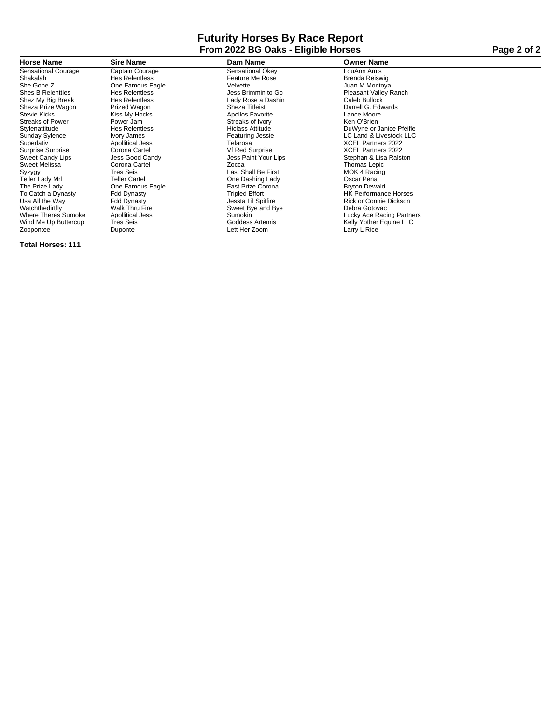# **Futurity Horses By Race Report From 2022 BG Oaks - Eligible Horses Page 2 of 2**

| <b>Horse Name</b>          | <b>Sire Name</b>        | Dam Name                | <b>Owner Name</b>            |
|----------------------------|-------------------------|-------------------------|------------------------------|
| <b>Sensational Courage</b> | Captain Courage         | Sensational Okey        | LouAnn Amis                  |
| Shakalah                   | <b>Hes Relentless</b>   | Feature Me Rose         | Brenda Reiswig               |
| She Gone Z                 | One Famous Eagle        | Velvette                | Juan M Montoya               |
| <b>Shes B Relenttles</b>   | <b>Hes Relentless</b>   | Jess Brimmin to Go      | <b>Pleasant Valley Ranch</b> |
| Shez My Big Break          | <b>Hes Relentless</b>   | Lady Rose a Dashin      | Caleb Bullock                |
| Sheza Prize Wagon          | Prized Wagon            | Sheza Titleist          | Darrell G. Edwards           |
| Stevie Kicks               | Kiss My Hocks           | Apollos Favorite        | Lance Moore                  |
| <b>Streaks of Power</b>    | Power Jam               | Streaks of Ivory        | Ken O'Brien                  |
| Stylenattitude             | <b>Hes Relentless</b>   | <b>Hiclass Attitude</b> | DuWyne or Janice Pfeifle     |
| <b>Sunday Sylence</b>      | Ivory James             | Featuring Jessie        | LC Land & Livestock LLC      |
| Superlativ                 | Apollitical Jess        | Telarosa                | <b>XCEL Partners 2022</b>    |
| Surprise Surprise          | Corona Cartel           | <b>Vf Red Surprise</b>  | <b>XCEL Partners 2022</b>    |
| Sweet Candy Lips           | Jess Good Candy         | Jess Paint Your Lips    | Stephan & Lisa Ralston       |
| Sweet Melissa              | Corona Cartel           | Zocca                   | Thomas Lepic                 |
| Syzygy                     | <b>Tres Seis</b>        | Last Shall Be First     | MOK 4 Racing                 |
| Teller Lady Mrl            | <b>Teller Cartel</b>    | One Dashing Lady        | Oscar Pena                   |
| The Prize Lady             | One Famous Eagle        | Fast Prize Corona       | <b>Bryton Dewald</b>         |
| To Catch a Dynasty         | <b>Fdd Dynasty</b>      | <b>Tripled Effort</b>   | <b>HK Performance Horses</b> |
| Usa All the Way            | <b>Fdd Dynasty</b>      | Jessta Lil Spitfire     | Rick or Connie Dickson       |
| Watchthedirtfly            | Walk Thru Fire          | Sweet Bye and Bye       | Debra Gotovac                |
| <b>Where Theres Sumoke</b> | <b>Apollitical Jess</b> | <b>Sumokin</b>          | Lucky Ace Racing Partners    |
| Wind Me Up Buttercup       | <b>Tres Seis</b>        | Goddess Artemis         | Kelly Yother Equine LLC      |
| Zoopontee                  | Duponte                 | Lett Her Zoom           | Larry L Rice                 |

**Total Horses: 111**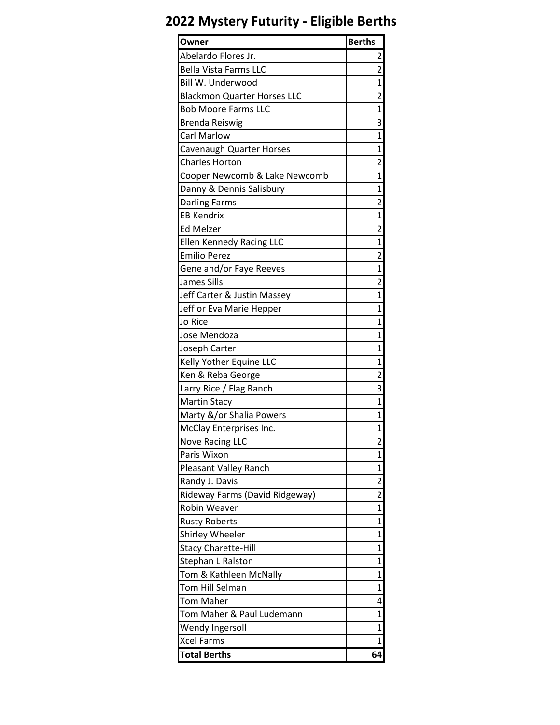# **2022 Mystery Futurity - Eligible Berths**

| Owner                              | <b>Berths</b>           |
|------------------------------------|-------------------------|
| Abelardo Flores Jr.                | 2                       |
| <b>Bella Vista Farms LLC</b>       | 2                       |
| Bill W. Underwood                  | 1                       |
| <b>Blackmon Quarter Horses LLC</b> | 2                       |
| <b>Bob Moore Farms LLC</b>         | $\mathbf{1}$            |
| Brenda Reiswig                     | 3                       |
| <b>Carl Marlow</b>                 | $\mathbf{1}$            |
| Cavenaugh Quarter Horses           | 1                       |
| <b>Charles Horton</b>              | 2                       |
| Cooper Newcomb & Lake Newcomb      | 1                       |
| Danny & Dennis Salisbury           | 1                       |
| <b>Darling Farms</b>               | $\overline{2}$          |
| <b>EB Kendrix</b>                  | $\mathbf{1}$            |
| <b>Ed Melzer</b>                   | 2                       |
| <b>Ellen Kennedy Racing LLC</b>    | 1                       |
| <b>Emilio Perez</b>                | 2                       |
| Gene and/or Faye Reeves            | 1                       |
| James Sills                        | $\overline{2}$          |
| Jeff Carter & Justin Massey        | $\mathbf{1}$            |
| Jeff or Eva Marie Hepper           | $\mathbf{1}$            |
| Jo Rice                            | 1                       |
| Jose Mendoza                       | 1                       |
| Joseph Carter                      | $\mathbf{1}$            |
| Kelly Yother Equine LLC            | 1                       |
| Ken & Reba George                  | $\overline{\mathbf{c}}$ |
| Larry Rice / Flag Ranch            | 3                       |
| <b>Martin Stacy</b>                | 1                       |
| Marty &/or Shalia Powers           | 1                       |
| McClay Enterprises Inc.            | 1                       |
| <b>Nove Racing LLC</b>             | $\overline{c}$          |
| Paris Wixon                        | 1                       |
| Pleasant Valley Ranch              | 1                       |
| Randy J. Davis                     | 2                       |
| Rideway Farms (David Ridgeway)     | $\overline{2}$          |
| <b>Robin Weaver</b>                | 1                       |
| <b>Rusty Roberts</b>               | 1                       |
| Shirley Wheeler                    | 1                       |
| <b>Stacy Charette-Hill</b>         | 1                       |
| Stephan L Ralston                  | $\overline{1}$          |
| Tom & Kathleen McNally             | 1                       |
| Tom Hill Selman                    | 1                       |
| Tom Maher                          | 4                       |
| Tom Maher & Paul Ludemann          | $\mathbf{1}$            |
| Wendy Ingersoll                    | 1                       |
| Xcel Farms                         | 1                       |
| <b>Total Berths</b>                | 64                      |